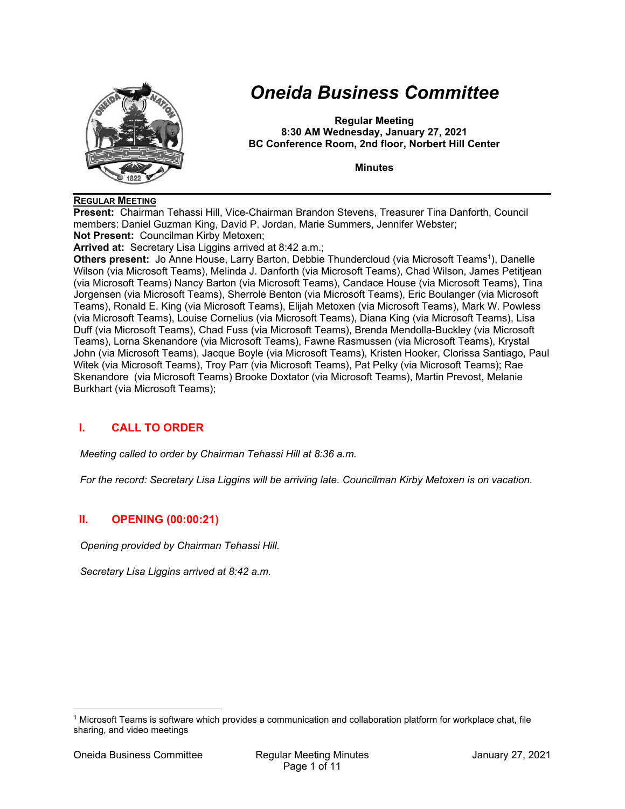

# *Oneida Business Committee*

**Regular Meeting 8:30 AM Wednesday, January 27, 2021 BC Conference Room, 2nd floor, Norbert Hill Center** 

**Minutes** 

#### **REGULAR MEETING**

**Present:** Chairman Tehassi Hill, Vice-Chairman Brandon Stevens, Treasurer Tina Danforth, Council members: Daniel Guzman King, David P. Jordan, Marie Summers, Jennifer Webster; **Not Present:** Councilman Kirby Metoxen;

**Arrived at:** Secretary Lisa Liggins arrived at 8:42 a.m.;

**Others present:** Jo Anne House, Larry Barton, Debbie Thundercloud (via Microsoft Teams<sup>1</sup>), Danelle Wilson (via Microsoft Teams), Melinda J. Danforth (via Microsoft Teams), Chad Wilson, James Petitjean (via Microsoft Teams) Nancy Barton (via Microsoft Teams), Candace House (via Microsoft Teams), Tina Jorgensen (via Microsoft Teams), Sherrole Benton (via Microsoft Teams), Eric Boulanger (via Microsoft Teams), Ronald E. King (via Microsoft Teams), Elijah Metoxen (via Microsoft Teams), Mark W. Powless (via Microsoft Teams), Louise Cornelius (via Microsoft Teams), Diana King (via Microsoft Teams), Lisa Duff (via Microsoft Teams), Chad Fuss (via Microsoft Teams), Brenda Mendolla-Buckley (via Microsoft Teams), Lorna Skenandore (via Microsoft Teams), Fawne Rasmussen (via Microsoft Teams), Krystal John (via Microsoft Teams), Jacque Boyle (via Microsoft Teams), Kristen Hooker, Clorissa Santiago, Paul Witek (via Microsoft Teams), Troy Parr (via Microsoft Teams), Pat Pelky (via Microsoft Teams); Rae Skenandore (via Microsoft Teams) Brooke Doxtator (via Microsoft Teams), Martin Prevost, Melanie Burkhart (via Microsoft Teams);

## **I. CALL TO ORDER**

*Meeting called to order by Chairman Tehassi Hill at 8:36 a.m.* 

*For the record: Secretary Lisa Liggins will be arriving late. Councilman Kirby Metoxen is on vacation.* 

## **II. OPENING (00:00:21)**

*Opening provided by Chairman Tehassi Hill.* 

*Secretary Lisa Liggins arrived at 8:42 a.m.* 

<sup>1</sup> Microsoft Teams is software which provides a communication and collaboration platform for workplace chat, file sharing, and video meetings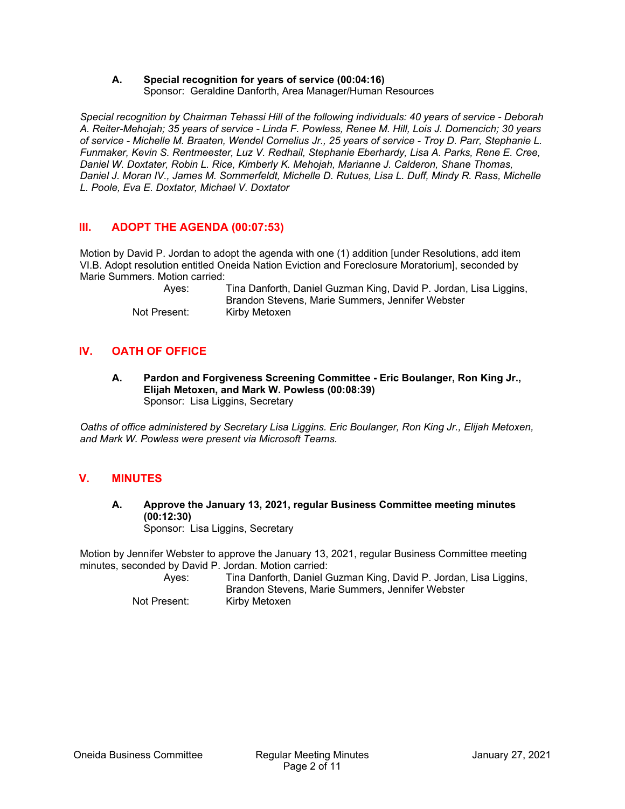#### **A. Special recognition for years of service (00:04:16)**  Sponsor: Geraldine Danforth, Area Manager/Human Resources

*Special recognition by Chairman Tehassi Hill of the following individuals: 40 years of service - Deborah A. Reiter-Mehojah; 35 years of service - Linda F. Powless, Renee M. Hill, Lois J. Domencich; 30 years of service - Michelle M. Braaten, Wendel Cornelius Jr., 25 years of service - Troy D. Parr, Stephanie L. Funmaker, Kevin S. Rentmeester, Luz V. Redhail, Stephanie Eberhardy, Lisa A. Parks, Rene E. Cree, Daniel W. Doxtater, Robin L. Rice, Kimberly K. Mehojah, Marianne J. Calderon, Shane Thomas, Daniel J. Moran IV., James M. Sommerfeldt, Michelle D. Rutues, Lisa L. Duff, Mindy R. Rass, Michelle L. Poole, Eva E. Doxtator, Michael V. Doxtator* 

# **III. ADOPT THE AGENDA (00:07:53)**

Motion by David P. Jordan to adopt the agenda with one (1) addition [under Resolutions, add item VI.B. Adopt resolution entitled Oneida Nation Eviction and Foreclosure Moratorium], seconded by Marie Summers. Motion carried:

 Ayes: Tina Danforth, Daniel Guzman King, David P. Jordan, Lisa Liggins, Brandon Stevens, Marie Summers, Jennifer Webster Not Present: Kirby Metoxen

# **IV. OATH OF OFFICE**

**A. Pardon and Forgiveness Screening Committee - Eric Boulanger, Ron King Jr., Elijah Metoxen, and Mark W. Powless (00:08:39)**  Sponsor: Lisa Liggins, Secretary

*Oaths of office administered by Secretary Lisa Liggins. Eric Boulanger, Ron King Jr., Elijah Metoxen, and Mark W. Powless were present via Microsoft Teams.* 

# **V. MINUTES**

**A. Approve the January 13, 2021, regular Business Committee meeting minutes (00:12:30)**  Sponsor: Lisa Liggins, Secretary

Motion by Jennifer Webster to approve the January 13, 2021, regular Business Committee meeting minutes, seconded by David P. Jordan. Motion carried:

 Ayes: Tina Danforth, Daniel Guzman King, David P. Jordan, Lisa Liggins, Brandon Stevens, Marie Summers, Jennifer Webster Not Present: Kirby Metoxen

Oneida Business Committee Regular Meeting Minutes January 27, 2021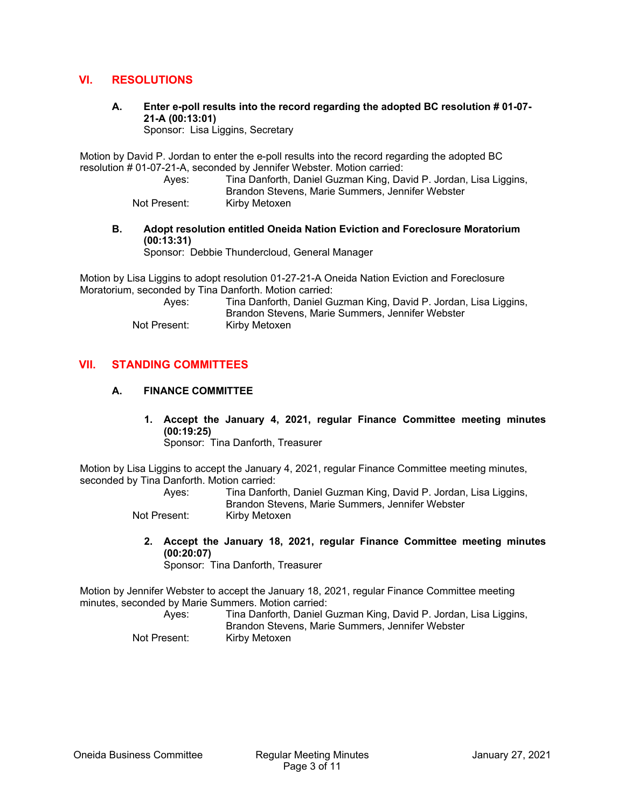## **VI. RESOLUTIONS**

**A. Enter e-poll results into the record regarding the adopted BC resolution # 01-07- 21-A (00:13:01)** 

Sponsor: Lisa Liggins, Secretary

Motion by David P. Jordan to enter the e-poll results into the record regarding the adopted BC resolution # 01-07-21-A, seconded by Jennifer Webster. Motion carried:

 Ayes: Tina Danforth, Daniel Guzman King, David P. Jordan, Lisa Liggins, Brandon Stevens, Marie Summers, Jennifer Webster Not Present: Kirby Metoxen

#### **B. Adopt resolution entitled Oneida Nation Eviction and Foreclosure Moratorium (00:13:31)**

Sponsor: Debbie Thundercloud, General Manager

Motion by Lisa Liggins to adopt resolution 01-27-21-A Oneida Nation Eviction and Foreclosure Moratorium, seconded by Tina Danforth. Motion carried:

| Ayes:        | Tina Danforth, Daniel Guzman King, David P. Jordan, Lisa Liggins, |
|--------------|-------------------------------------------------------------------|
|              | Brandon Stevens, Marie Summers, Jennifer Webster                  |
| Not Present: | Kirby Metoxen                                                     |

#### **VII. STANDING COMMITTEES**

#### **A. FINANCE COMMITTEE**

**1. Accept the January 4, 2021, regular Finance Committee meeting minutes (00:19:25)** 

Sponsor: Tina Danforth, Treasurer

Motion by Lisa Liggins to accept the January 4, 2021, regular Finance Committee meeting minutes, seconded by Tina Danforth. Motion carried:

| Ayes:        | Tina Danforth, Daniel Guzman King, David P. Jordan, Lisa Liggins, |
|--------------|-------------------------------------------------------------------|
|              | Brandon Stevens, Marie Summers, Jennifer Webster                  |
| Not Drooppt. | Kirby Motovon                                                     |

Not Present: Kirby Metoxen

**2. Accept the January 18, 2021, regular Finance Committee meeting minutes (00:20:07)**  Sponsor: Tina Danforth, Treasurer

Motion by Jennifer Webster to accept the January 18, 2021, regular Finance Committee meeting minutes, seconded by Marie Summers. Motion carried:

| Aves:        | Tina Danforth, Daniel Guzman King, David P. Jordan, Lisa Liggins, |
|--------------|-------------------------------------------------------------------|
|              | Brandon Stevens, Marie Summers, Jennifer Webster                  |
| Not Present: | Kirby Metoxen                                                     |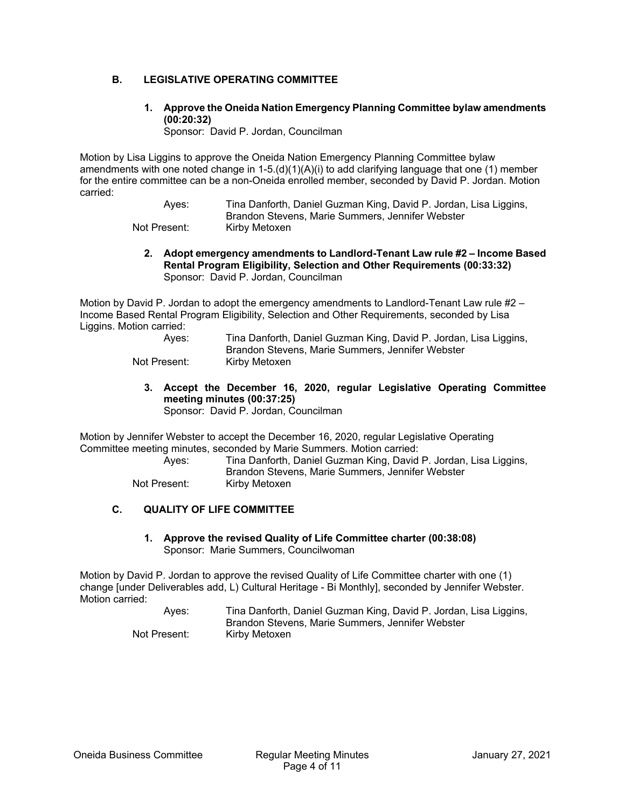#### **B. LEGISLATIVE OPERATING COMMITTEE**

### **1. Approve the Oneida Nation Emergency Planning Committee bylaw amendments (00:20:32)**

Sponsor: David P. Jordan, Councilman

Motion by Lisa Liggins to approve the Oneida Nation Emergency Planning Committee bylaw amendments with one noted change in  $1-5.(d)(1)(A)(i)$  to add clarifying language that one (1) member for the entire committee can be a non-Oneida enrolled member, seconded by David P. Jordan. Motion carried:

> Ayes: Tina Danforth, Daniel Guzman King, David P. Jordan, Lisa Liggins, Brandon Stevens, Marie Summers, Jennifer Webster Not Present: Kirby Metoxen

**2. Adopt emergency amendments to Landlord-Tenant Law rule #2 – Income Based Rental Program Eligibility, Selection and Other Requirements (00:33:32)**  Sponsor: David P. Jordan, Councilman

Motion by David P. Jordan to adopt the emergency amendments to Landlord-Tenant Law rule #2 – Income Based Rental Program Eligibility, Selection and Other Requirements, seconded by Lisa Liggins. Motion carried:

| Aves:        | Tina Danforth, Daniel Guzman King, David P. Jordan, Lisa Liggins, |
|--------------|-------------------------------------------------------------------|
|              | Brandon Stevens, Marie Summers, Jennifer Webster                  |
| Not Present: | Kirby Metoxen                                                     |

**3. Accept the December 16, 2020, regular Legislative Operating Committee meeting minutes (00:37:25)**  Sponsor: David P. Jordan, Councilman

Motion by Jennifer Webster to accept the December 16, 2020, regular Legislative Operating Committee meeting minutes, seconded by Marie Summers. Motion carried:

> Ayes: Tina Danforth, Daniel Guzman King, David P. Jordan, Lisa Liggins, Brandon Stevens, Marie Summers, Jennifer Webster Not Present: Kirby Metoxen

#### **C. QUALITY OF LIFE COMMITTEE**

**1. Approve the revised Quality of Life Committee charter (00:38:08)**  Sponsor: Marie Summers, Councilwoman

Motion by David P. Jordan to approve the revised Quality of Life Committee charter with one (1) change [under Deliverables add, L) Cultural Heritage - Bi Monthly], seconded by Jennifer Webster. Motion carried:

| Ayes:        | Tina Danforth, Daniel Guzman King, David P. Jordan, Lisa Liggins, |
|--------------|-------------------------------------------------------------------|
|              | Brandon Stevens, Marie Summers, Jennifer Webster                  |
| Not Present: | Kirby Metoxen                                                     |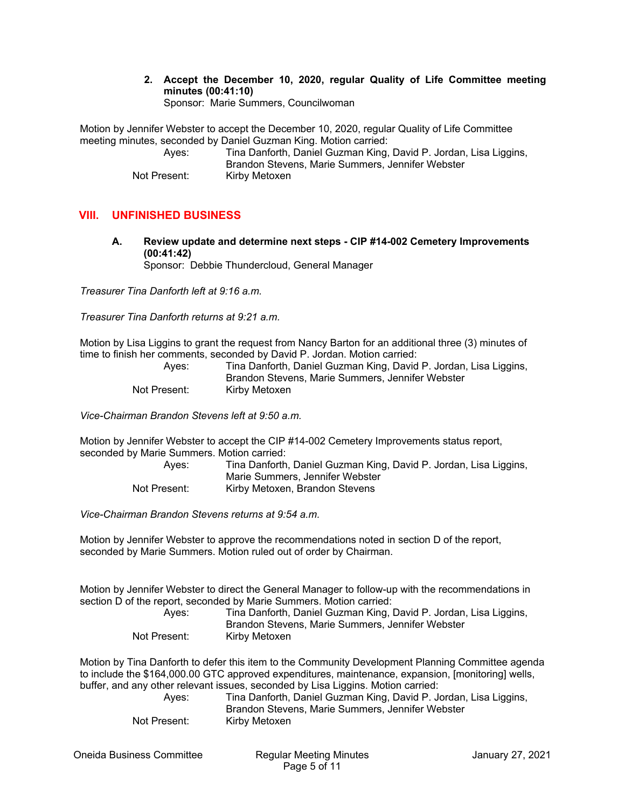**2. Accept the December 10, 2020, regular Quality of Life Committee meeting minutes (00:41:10)**  Sponsor: Marie Summers, Councilwoman

Motion by Jennifer Webster to accept the December 10, 2020, regular Quality of Life Committee meeting minutes, seconded by Daniel Guzman King. Motion carried:

 Ayes: Tina Danforth, Daniel Guzman King, David P. Jordan, Lisa Liggins, Brandon Stevens, Marie Summers, Jennifer Webster Not Present: Kirby Metoxen

## **VIII. UNFINISHED BUSINESS**

**A. Review update and determine next steps - CIP #14-002 Cemetery Improvements (00:41:42)**  Sponsor: Debbie Thundercloud, General Manager

*Treasurer Tina Danforth left at 9:16 a.m.* 

*Treasurer Tina Danforth returns at 9:21 a.m.* 

Motion by Lisa Liggins to grant the request from Nancy Barton for an additional three (3) minutes of time to finish her comments, seconded by David P. Jordan. Motion carried:

| Aves:        | Tina Danforth, Daniel Guzman King, David P. Jordan, Lisa Liggins, |
|--------------|-------------------------------------------------------------------|
|              | Brandon Stevens, Marie Summers, Jennifer Webster                  |
| Not Present: | Kirby Metoxen                                                     |

*Vice-Chairman Brandon Stevens left at 9:50 a.m.* 

Motion by Jennifer Webster to accept the CIP #14-002 Cemetery Improvements status report, seconded by Marie Summers. Motion carried:

| Ayes:        | Tina Danforth, Daniel Guzman King, David P. Jordan, Lisa Liggins, |
|--------------|-------------------------------------------------------------------|
|              | Marie Summers, Jennifer Webster                                   |
| Not Present: | Kirby Metoxen, Brandon Stevens                                    |

*Vice-Chairman Brandon Stevens returns at 9:54 a.m.* 

Motion by Jennifer Webster to approve the recommendations noted in section D of the report, seconded by Marie Summers. Motion ruled out of order by Chairman.

Motion by Jennifer Webster to direct the General Manager to follow-up with the recommendations in section D of the report, seconded by Marie Summers. Motion carried:

| Ayes:        | Tina Danforth, Daniel Guzman King, David P. Jordan, Lisa Liggins, |
|--------------|-------------------------------------------------------------------|
|              | Brandon Stevens, Marie Summers, Jennifer Webster                  |
| Not Present: | Kirby Metoxen                                                     |

Motion by Tina Danforth to defer this item to the Community Development Planning Committee agenda to include the \$164,000.00 GTC approved expenditures, maintenance, expansion, [monitoring] wells, buffer, and any other relevant issues, seconded by Lisa Liggins. Motion carried:

| Aves:        | Tina Danforth, Daniel Guzman King, David P. Jordan, Lisa Liggins, |
|--------------|-------------------------------------------------------------------|
|              | Brandon Stevens, Marie Summers, Jennifer Webster                  |
| Not Present: | Kirby Metoxen                                                     |

Oneida Business Committee Regular Meeting Minutes January 27, 2021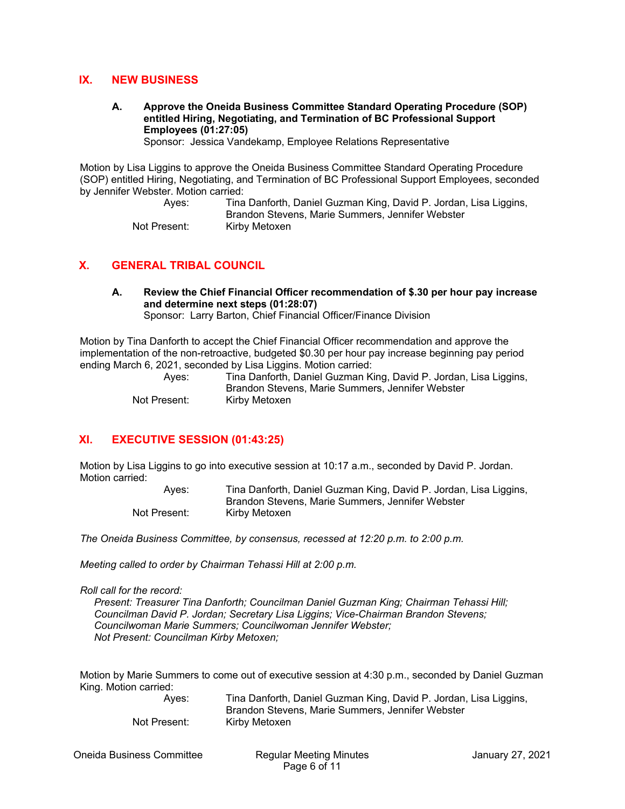#### **IX. NEW BUSINESS**

#### **A. Approve the Oneida Business Committee Standard Operating Procedure (SOP) entitled Hiring, Negotiating, and Termination of BC Professional Support Employees (01:27:05)**

Sponsor: Jessica Vandekamp, Employee Relations Representative

Motion by Lisa Liggins to approve the Oneida Business Committee Standard Operating Procedure (SOP) entitled Hiring, Negotiating, and Termination of BC Professional Support Employees, seconded by Jennifer Webster. Motion carried:

> Ayes: Tina Danforth, Daniel Guzman King, David P. Jordan, Lisa Liggins, Brandon Stevens, Marie Summers, Jennifer Webster Not Present: Kirby Metoxen

#### **X. GENERAL TRIBAL COUNCIL**

# **A. Review the Chief Financial Officer recommendation of \$.30 per hour pay increase and determine next steps (01:28:07)**

Sponsor: Larry Barton, Chief Financial Officer/Finance Division

Motion by Tina Danforth to accept the Chief Financial Officer recommendation and approve the implementation of the non-retroactive, budgeted \$0.30 per hour pay increase beginning pay period ending March 6, 2021, seconded by Lisa Liggins. Motion carried:

| Aves:        | Tina Danforth, Daniel Guzman King, David P. Jordan, Lisa Liggins, |
|--------------|-------------------------------------------------------------------|
|              | Brandon Stevens, Marie Summers, Jennifer Webster                  |
| Not Present: | Kirby Metoxen                                                     |

#### **XI. EXECUTIVE SESSION (01:43:25)**

Motion by Lisa Liggins to go into executive session at 10:17 a.m., seconded by David P. Jordan. Motion carried:

> Ayes: Tina Danforth, Daniel Guzman King, David P. Jordan, Lisa Liggins, Brandon Stevens, Marie Summers, Jennifer Webster Not Present: Kirby Metoxen

*The Oneida Business Committee, by consensus, recessed at 12:20 p.m. to 2:00 p.m.* 

*Meeting called to order by Chairman Tehassi Hill at 2:00 p.m.* 

*Roll call for the record:* 

 *Present: Treasurer Tina Danforth; Councilman Daniel Guzman King; Chairman Tehassi Hill; Councilman David P. Jordan; Secretary Lisa Liggins; Vice-Chairman Brandon Stevens; Councilwoman Marie Summers; Councilwoman Jennifer Webster; Not Present: Councilman Kirby Metoxen;* 

Motion by Marie Summers to come out of executive session at 4:30 p.m., seconded by Daniel Guzman King. Motion carried:

 Ayes: Tina Danforth, Daniel Guzman King, David P. Jordan, Lisa Liggins, Brandon Stevens, Marie Summers, Jennifer Webster Not Present: Kirby Metoxen

Oneida Business Committee Regular Meeting Minutes January 27, 2021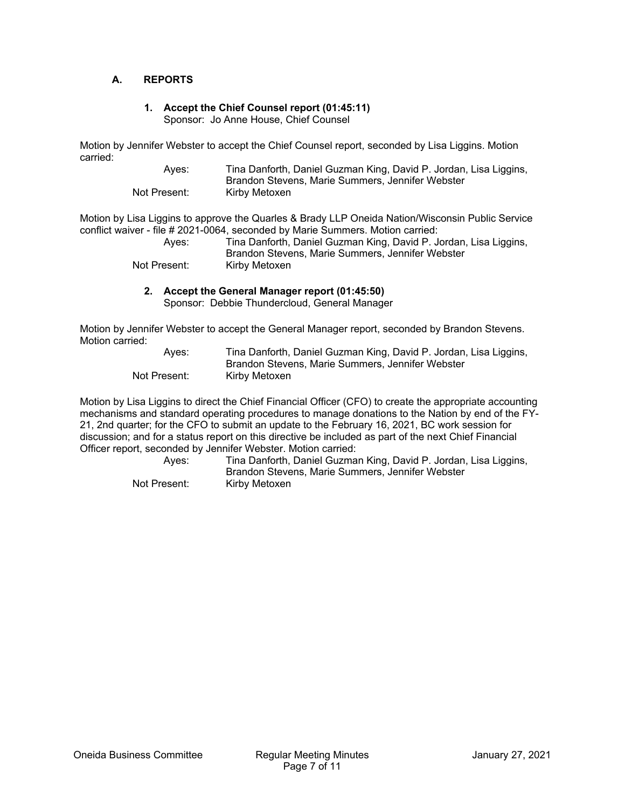#### **A. REPORTS**

#### **1. Accept the Chief Counsel report (01:45:11)**  Sponsor: Jo Anne House, Chief Counsel

Motion by Jennifer Webster to accept the Chief Counsel report, seconded by Lisa Liggins. Motion carried:

 Ayes: Tina Danforth, Daniel Guzman King, David P. Jordan, Lisa Liggins, Brandon Stevens, Marie Summers, Jennifer Webster Not Present: Kirby Metoxen

Motion by Lisa Liggins to approve the Quarles & Brady LLP Oneida Nation/Wisconsin Public Service conflict waiver - file # 2021-0064, seconded by Marie Summers. Motion carried:

| Ayes:        | Tina Danforth, Daniel Guzman King, David P. Jordan, Lisa Liggins, |
|--------------|-------------------------------------------------------------------|
|              | Brandon Stevens, Marie Summers, Jennifer Webster                  |
| Not Present: | Kirby Metoxen                                                     |

#### **2. Accept the General Manager report (01:45:50)**

Sponsor: Debbie Thundercloud, General Manager

Motion by Jennifer Webster to accept the General Manager report, seconded by Brandon Stevens. Motion carried:

| Ayes:        | Tina Danforth, Daniel Guzman King, David P. Jordan, Lisa Liggins, |
|--------------|-------------------------------------------------------------------|
|              | Brandon Stevens, Marie Summers, Jennifer Webster                  |
| Not Present: | Kirby Metoxen                                                     |

Motion by Lisa Liggins to direct the Chief Financial Officer (CFO) to create the appropriate accounting mechanisms and standard operating procedures to manage donations to the Nation by end of the FY-21, 2nd quarter; for the CFO to submit an update to the February 16, 2021, BC work session for discussion; and for a status report on this directive be included as part of the next Chief Financial Officer report, seconded by Jennifer Webster. Motion carried:

> Ayes: Tina Danforth, Daniel Guzman King, David P. Jordan, Lisa Liggins, Brandon Stevens, Marie Summers, Jennifer Webster Not Present: Kirby Metoxen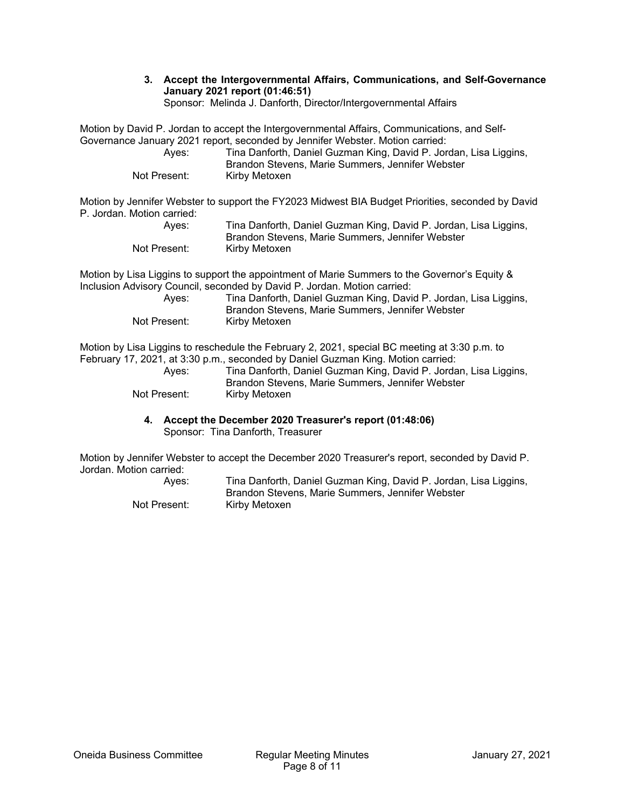**3. Accept the Intergovernmental Affairs, Communications, and Self-Governance January 2021 report (01:46:51)** 

Sponsor: Melinda J. Danforth, Director/Intergovernmental Affairs

Motion by David P. Jordan to accept the Intergovernmental Affairs, Communications, and Self-Governance January 2021 report, seconded by Jennifer Webster. Motion carried:

| Aves:        | Tina Danforth, Daniel Guzman King, David P. Jordan, Lisa Liggins, |
|--------------|-------------------------------------------------------------------|
|              | Brandon Stevens, Marie Summers, Jennifer Webster                  |
| Not Present: | Kirby Metoxen                                                     |

Motion by Jennifer Webster to support the FY2023 Midwest BIA Budget Priorities, seconded by David P. Jordan. Motion carried:

| Aves:        | Tina Danforth, Daniel Guzman King, David P. Jordan, Lisa Liggins, |
|--------------|-------------------------------------------------------------------|
|              | Brandon Stevens, Marie Summers, Jennifer Webster                  |
| Not Present: | Kirby Metoxen                                                     |

Motion by Lisa Liggins to support the appointment of Marie Summers to the Governor's Equity & Inclusion Advisory Council, seconded by David P. Jordan. Motion carried:

| Aves:        | Tina Danforth, Daniel Guzman King, David P. Jordan, Lisa Liggins, |
|--------------|-------------------------------------------------------------------|
|              | Brandon Stevens, Marie Summers, Jennifer Webster                  |
| Not Present: | Kirby Metoxen                                                     |

Motion by Lisa Liggins to reschedule the February 2, 2021, special BC meeting at 3:30 p.m. to February 17, 2021, at 3:30 p.m., seconded by Daniel Guzman King. Motion carried:

| Aves:        | Tina Danforth, Daniel Guzman King, David P. Jordan, Lisa Liggins, |
|--------------|-------------------------------------------------------------------|
|              | Brandon Stevens, Marie Summers, Jennifer Webster                  |
| Not Present: | Kirby Metoxen                                                     |

#### **4. Accept the December 2020 Treasurer's report (01:48:06)**  Sponsor: Tina Danforth, Treasurer

Motion by Jennifer Webster to accept the December 2020 Treasurer's report, seconded by David P. Jordan. Motion carried:

| Aves:        | Tina Danforth, Daniel Guzman King, David P. Jordan, Lisa Liggins, |
|--------------|-------------------------------------------------------------------|
|              | Brandon Stevens, Marie Summers, Jennifer Webster                  |
| Not Present: | Kirby Metoxen                                                     |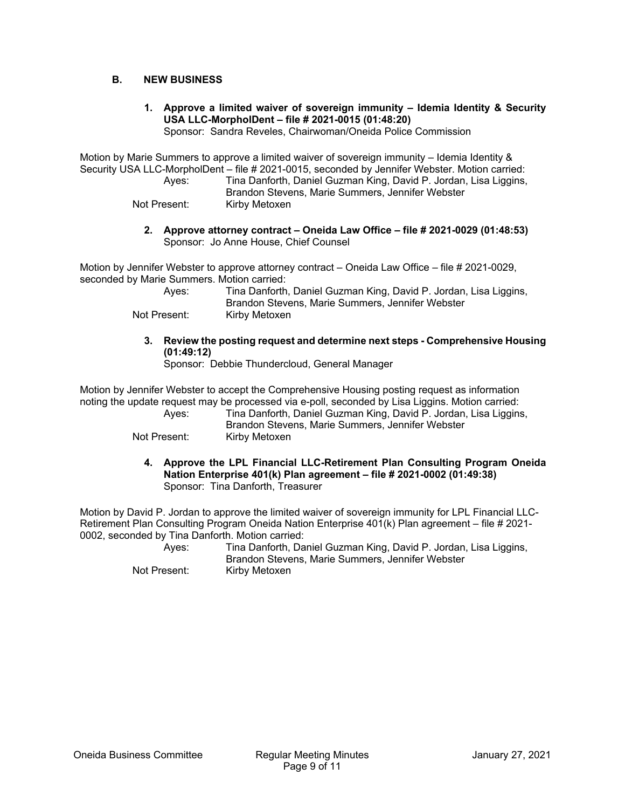#### **B. NEW BUSINESS**

**1. Approve a limited waiver of sovereign immunity – Idemia Identity & Security USA LLC-MorpholDent – file # 2021-0015 (01:48:20)** 

Sponsor: Sandra Reveles, Chairwoman/Oneida Police Commission

Motion by Marie Summers to approve a limited waiver of sovereign immunity – Idemia Identity & Security USA LLC-MorpholDent – file # 2021-0015, seconded by Jennifer Webster. Motion carried:

 Ayes: Tina Danforth, Daniel Guzman King, David P. Jordan, Lisa Liggins, Brandon Stevens, Marie Summers, Jennifer Webster

Not Present: Kirby Metoxen

**2. Approve attorney contract – Oneida Law Office – file # 2021-0029 (01:48:53)**  Sponsor: Jo Anne House, Chief Counsel

Motion by Jennifer Webster to approve attorney contract – Oneida Law Office – file # 2021-0029, seconded by Marie Summers. Motion carried:

| Aves:        | Tina Danforth, Daniel Guzman King, David P. Jordan, Lisa Liggins, |
|--------------|-------------------------------------------------------------------|
|              | Brandon Stevens, Marie Summers, Jennifer Webster                  |
| Not Present: | Kirby Metoxen                                                     |

**3. Review the posting request and determine next steps - Comprehensive Housing (01:49:12)** 

Sponsor: Debbie Thundercloud, General Manager

Motion by Jennifer Webster to accept the Comprehensive Housing posting request as information noting the update request may be processed via e-poll, seconded by Lisa Liggins. Motion carried:

 Ayes: Tina Danforth, Daniel Guzman King, David P. Jordan, Lisa Liggins, Brandon Stevens, Marie Summers, Jennifer Webster

Not Present: Kirby Metoxen

**4. Approve the LPL Financial LLC-Retirement Plan Consulting Program Oneida Nation Enterprise 401(k) Plan agreement – file # 2021-0002 (01:49:38)**  Sponsor: Tina Danforth, Treasurer

Motion by David P. Jordan to approve the limited waiver of sovereign immunity for LPL Financial LLC-Retirement Plan Consulting Program Oneida Nation Enterprise 401(k) Plan agreement – file # 2021- 0002, seconded by Tina Danforth. Motion carried:

 Ayes: Tina Danforth, Daniel Guzman King, David P. Jordan, Lisa Liggins, Brandon Stevens, Marie Summers, Jennifer Webster Not Present: Kirby Metoxen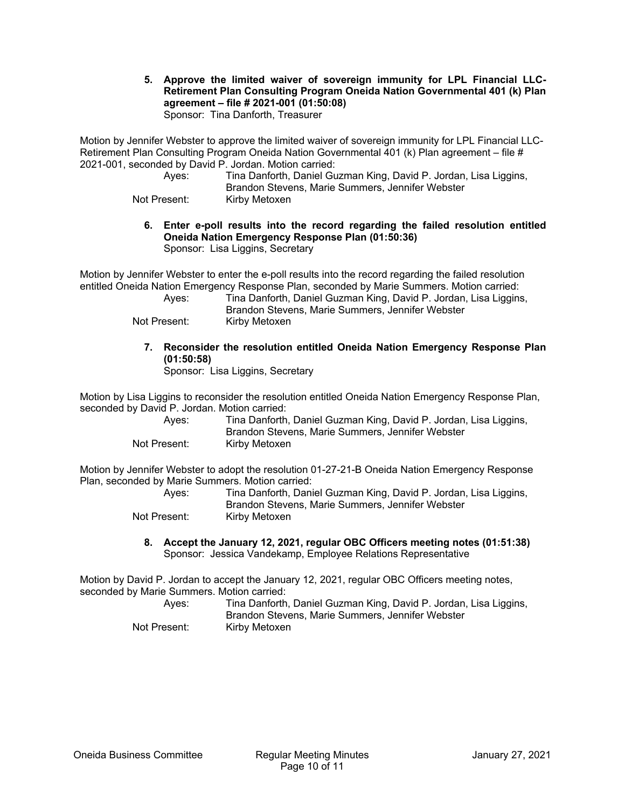**5. Approve the limited waiver of sovereign immunity for LPL Financial LLC-Retirement Plan Consulting Program Oneida Nation Governmental 401 (k) Plan agreement – file # 2021-001 (01:50:08)** 

Sponsor: Tina Danforth, Treasurer

Motion by Jennifer Webster to approve the limited waiver of sovereign immunity for LPL Financial LLC-Retirement Plan Consulting Program Oneida Nation Governmental 401 (k) Plan agreement – file # 2021-001, seconded by David P. Jordan. Motion carried:

 Ayes: Tina Danforth, Daniel Guzman King, David P. Jordan, Lisa Liggins, Brandon Stevens, Marie Summers, Jennifer Webster

Not Present: Kirby Metoxen

- **6. Enter e-poll results into the record regarding the failed resolution entitled Oneida Nation Emergency Response Plan (01:50:36)** 
	- Sponsor: Lisa Liggins, Secretary

Motion by Jennifer Webster to enter the e-poll results into the record regarding the failed resolution entitled Oneida Nation Emergency Response Plan, seconded by Marie Summers. Motion carried:

| Ayes:        | Tina Danforth, Daniel Guzman King, David P. Jordan, Lisa Liggins, |
|--------------|-------------------------------------------------------------------|
|              | Brandon Stevens, Marie Summers, Jennifer Webster                  |
| Not Present: | Kirby Metoxen                                                     |

## **7. Reconsider the resolution entitled Oneida Nation Emergency Response Plan (01:50:58)**

Sponsor: Lisa Liggins, Secretary

Motion by Lisa Liggins to reconsider the resolution entitled Oneida Nation Emergency Response Plan, seconded by David P. Jordan. Motion carried:

| Aves:        | Tina Danforth, Daniel Guzman King, David P. Jordan, Lisa Liggins,<br>Brandon Stevens, Marie Summers, Jennifer Webster |
|--------------|-----------------------------------------------------------------------------------------------------------------------|
| Not Present: | Kirby Metoxen                                                                                                         |

Motion by Jennifer Webster to adopt the resolution 01-27-21-B Oneida Nation Emergency Response Plan, seconded by Marie Summers. Motion carried:

| Aves:        | Tina Danforth, Daniel Guzman King, David P. Jordan, Lisa Liggins,<br>Brandon Stevens, Marie Summers, Jennifer Webster |
|--------------|-----------------------------------------------------------------------------------------------------------------------|
| Not Present: | Kirby Metoxen                                                                                                         |

**8. Accept the January 12, 2021, regular OBC Officers meeting notes (01:51:38)**  Sponsor: Jessica Vandekamp, Employee Relations Representative

Motion by David P. Jordan to accept the January 12, 2021, regular OBC Officers meeting notes, seconded by Marie Summers. Motion carried:

| Aves:        | Tina Danforth, Daniel Guzman King, David P. Jordan, Lisa Liggins,<br>Brandon Stevens, Marie Summers, Jennifer Webster |
|--------------|-----------------------------------------------------------------------------------------------------------------------|
| Not Present: | Kirbv Metoxen                                                                                                         |